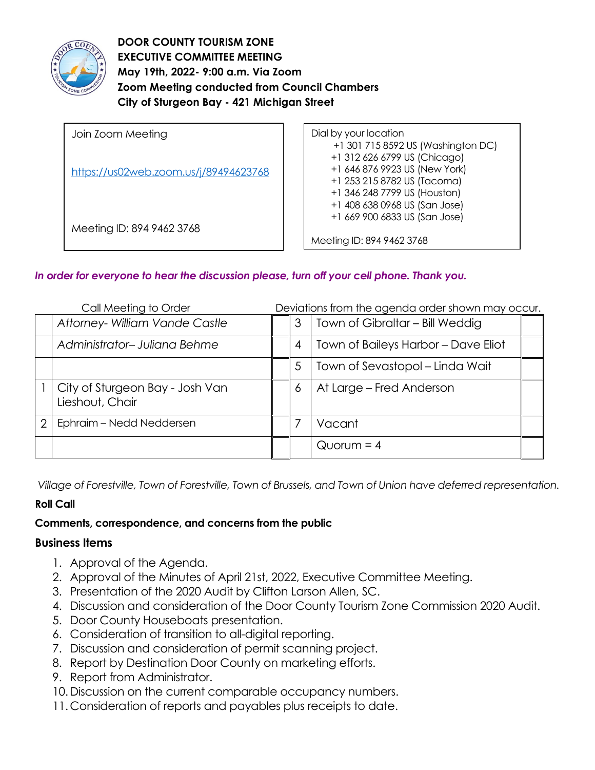

**DOOR COUNTY TOURISM ZONE EXECUTIVE COMMITTEE MEETING May 19th, 2022- 9:00 a.m. Via Zoom Zoom Meeting conducted from Council Chambers City of Sturgeon Bay - 421 Michigan Street** 

| Join Zoom Meeting                     | Dial by your location                                                                                                                                                                               |
|---------------------------------------|-----------------------------------------------------------------------------------------------------------------------------------------------------------------------------------------------------|
| https://us02web.zoom.us/j/89494623768 | +1 301 715 8592 US (Washington DC)<br>+1 312 626 6799 US (Chicago)<br>+1 646 876 9923 US (New York)<br>+1 253 215 8782 US (Tacoma)<br>+1 346 248 7799 US (Houston)<br>+1 408 638 0968 US (San Jose) |
| Meeting ID: 894 9462 3768             | +1 669 900 6833 US (San Jose)<br>Meeting ID: 894 9462 3768                                                                                                                                          |

## *In order for everyone to hear the discussion please, turn off your cell phone. Thank you.*

| Call Meeting to Order |                                                    |  | Deviations from the agenda order shown may occur. |                                     |  |
|-----------------------|----------------------------------------------------|--|---------------------------------------------------|-------------------------------------|--|
|                       | Attorney- William Vande Castle                     |  | 3                                                 | Town of Gibraltar - Bill Weddig     |  |
|                       | Administrator-Juliana Behme                        |  | 4                                                 | Town of Baileys Harbor - Dave Eliot |  |
|                       |                                                    |  | 5                                                 | Town of Sevastopol – Linda Wait     |  |
|                       | City of Sturgeon Bay - Josh Van<br>Lieshout, Chair |  | 6                                                 | At Large – Fred Anderson            |  |
| 2                     | Ephraim - Nedd Neddersen                           |  |                                                   | Vacant                              |  |
|                       |                                                    |  |                                                   | $Quorum = 4$                        |  |

*Village of Forestville, Town of Forestville, Town of Brussels, and Town of Union have deferred representation.*

## **Roll Call**

## **Comments, correspondence, and concerns from the public**

## **Business Items**

- 1. Approval of the Agenda.
- 2. Approval of the Minutes of April 21st, 2022, Executive Committee Meeting.
- 3. Presentation of the 2020 Audit by Clifton Larson Allen, SC.
- 4. Discussion and consideration of the Door County Tourism Zone Commission 2020 Audit.
- 5. Door County Houseboats presentation.
- 6. Consideration of transition to all-digital reporting.
- 7. Discussion and consideration of permit scanning project.
- 8. Report by Destination Door County on marketing efforts.
- 9. Report from Administrator.
- 10.Discussion on the current comparable occupancy numbers.
- 11. Consideration of reports and payables plus receipts to date.